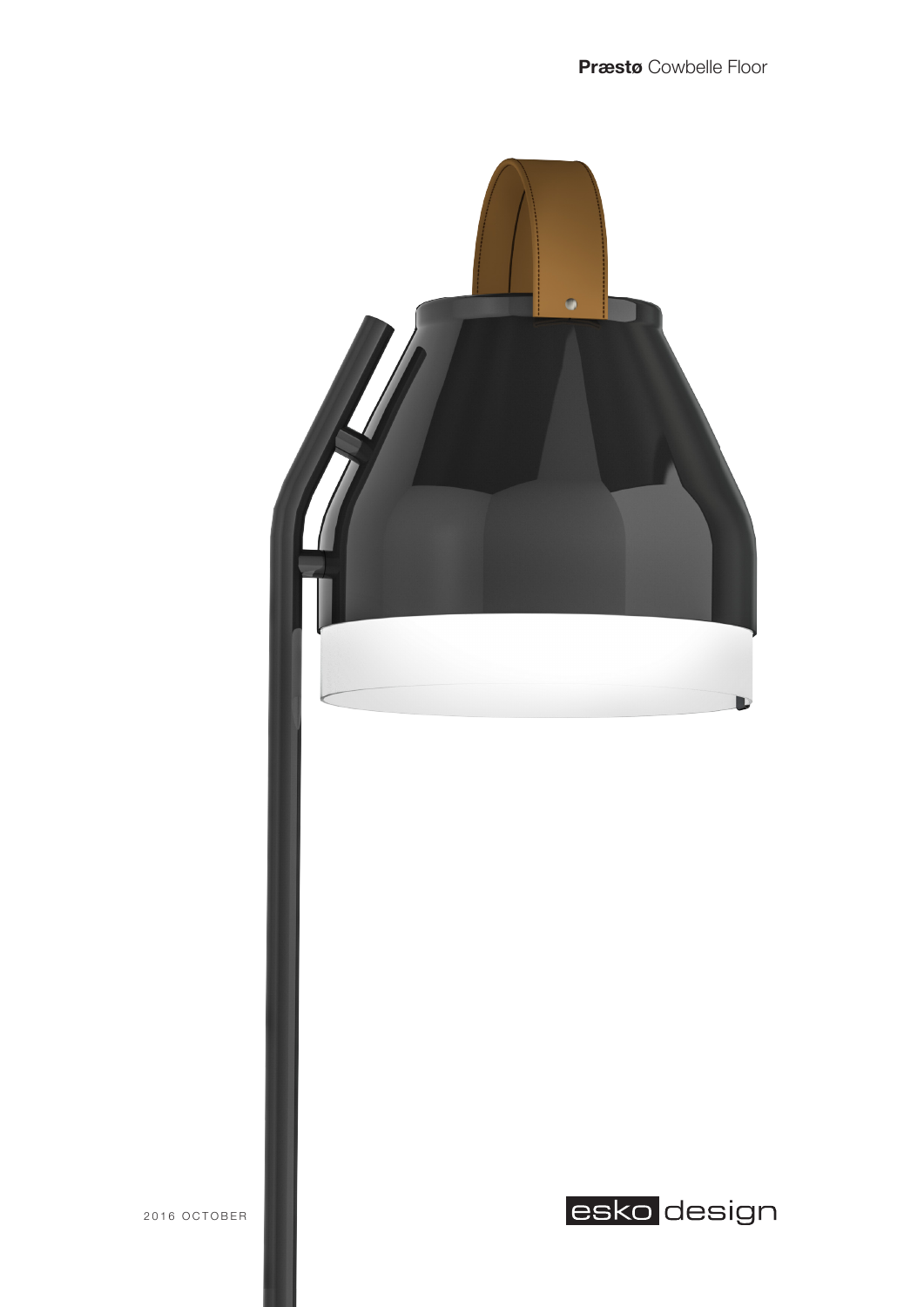

2016 OCTOBER